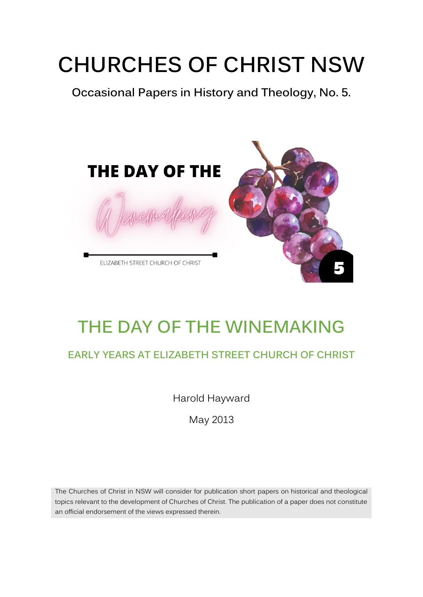# **CHURCHES OF CHRIST NSW**

**Occasional Papers in History and Theology, No. 5.** 



# **THE DAY OF THE WINEMAKING**

#### **EARLY YEARS AT ELIZABETH STREET CHURCH OF CHRIST**

Harold Hayward

May 2013

The Churches of Christ in NSW will consider for publication short papers on historical and theological topics relevant to the development of Churches of Christ. The publication of a paper does not constitute an official endorsement of the views expressed therein.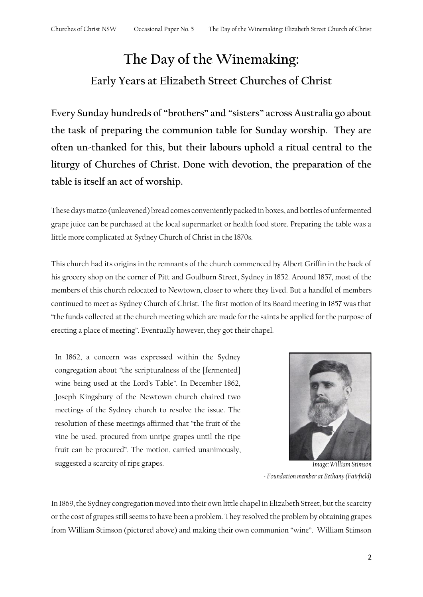## **The Day of the Winemaking: Early Years at Elizabeth Street Churches of Christ**

**Every Sunday hundreds of "brothers" and "sisters" across Australia go about the task of preparing the communion table for Sunday worship. They are often un-thanked for this, but their labours uphold a ritual central to the liturgy of Churches of Christ. Done with devotion, the preparation of the table is itself an act of worship.**

These days matzo (unleavened) bread comes conveniently packed in boxes, and bottles of unfermented grape juice can be purchased at the local supermarket or health food store. Preparing the table was a little more complicated at Sydney Church of Christ in the 1870s.

This church had its origins in the remnants of the church commenced by Albert Griffin in the back of his grocery shop on the corner of Pitt and Goulburn Street, Sydney in 1852. Around 1857, most of the members of this church relocated to Newtown, closer to where they lived. But a handful of members continued to meet as Sydney Church of Christ. The first motion of its Board meeting in 1857 was that "the funds collected at the church meeting which are made for the saints be applied for the purpose of erecting a place of meeting". Eventually however, they got their chapel.

In 1862, a concern was expressed within the Sydney congregation about "the scripturalness of the [fermented] wine being used at the Lord's Table". In December 1862, Joseph Kingsbury of the Newtown church chaired two meetings of the Sydney church to resolve the issue. The resolution of these meetings affirmed that "the fruit of the vine be used, procured from unripe grapes until the ripe fruit can be procured". The motion, carried unanimously, suggested a scarcity of ripe grapes. *Image: William Stimson* 



*- Foundation member at Bethany (Fairfield)*

In 1869, the Sydney congregation moved into their own little chapel in Elizabeth Street, but the scarcity or the cost of grapes still seems to have been a problem. They resolved the problem by obtaining grapes from William Stimson (pictured above) and making their own communion "wine". William Stimson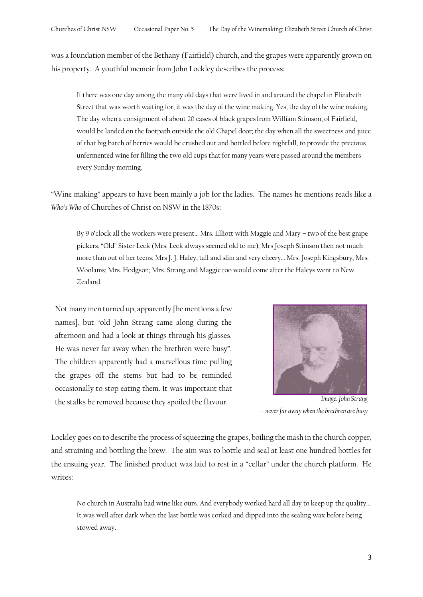was a foundation member of the Bethany (Fairfield) church, and the grapes were apparently grown on his property. A youthful memoir from John Lockley describes the process:

If there was one day among the many old days that were lived in and around the chapel in Elizabeth Street that was worth waiting for, it was the day of the wine making. Yes, the day of the wine making. The day when a consignment of about 20 cases of black grapes from William Stimson, of Fairfield, would be landed on the footpath outside the old Chapel door; the day when all the sweetness and juice of that big batch of berries would be crushed out and bottled before nightfall, to provide the precious unfermented wine for filling the two old cups that for many years were passed around the members every Sunday morning.

"Wine making" appears to have been mainly a job for the ladies. The names he mentions reads like a *Who's Who* of Churches of Christ on NSW in the 1870s:

By 9 o'clock all the workers were present… Mrs. Elliott with Maggie and Mary – two of the best grape pickers; "Old" Sister Leck (Mrs. Leck always seemed old to me); Mrs Joseph Stimson then not much more than out of her teens; Mrs J. J. Haley, tall and slim and very cheery… Mrs. Joseph Kingsbury; Mrs. Woolams; Mrs. Hodgson; Mrs. Strang and Maggie too would come after the Haleys went to New Zealand.

Not many men turned up, apparently [he mentions a few names], but "old John Strang came along during the afternoon and had a look at things through his glasses. He was never far away when the brethren were busy". The children apparently had a marvellous time pulling the grapes off the stems but had to be reminded occasionally to stop eating them. It was important that the stalks be removed because they spoiled the flavour. *Image: John Strang* 



*– never far away when the brethren are busy*

Lockley goes on to describe the process of squeezing the grapes, boiling the mash in the church copper, and straining and bottling the brew. The aim was to bottle and seal at least one hundred bottles for the ensuing year. The finished product was laid to rest in a "cellar" under the church platform. He writes:

No church in Australia had wine like ours. And everybody worked hard all day to keep up the quality… It was well after dark when the last bottle was corked and dipped into the sealing wax before being stowed away.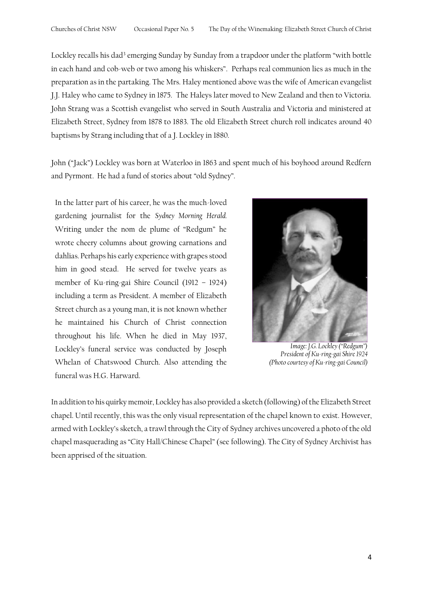Lockley recalls his dad<sup>3</sup> emerging Sunday by Sunday from a trapdoor under the platform "with bottle in each hand and cob-web or two among his whiskers". Perhaps real communion lies as much in the preparation as in the partaking. The Mrs. Haley mentioned above was the wife of American evangelist J.J. Haley who came to Sydney in 1875. The Haleys later moved to New Zealand and then to Victoria. John Strang was a Scottish evangelist who served in South Australia and Victoria and ministered at Elizabeth Street, Sydney from 1878 to 1883. The old Elizabeth Street church roll indicates around 40 baptisms by Strang including that of a J. Lockley in 1880.

John ("Jack") Lockley was born at Waterloo in 1863 and spent much of his boyhood around Redfern and Pyrmont. He had a fund of stories about "old Sydney".

In the latter part of his career, he was the much-loved gardening journalist for the *Sydney Morning Herald.*  Writing under the nom de plume of "Redgum" he wrote cheery columns about growing carnations and dahlias. Perhaps his early experience with grapes stood him in good stead. He served for twelve years as member of Ku-ring-gai Shire Council (1912 – 1924) including a term as President. A member of Elizabeth Street church as a young man, it is not known whether he maintained his Church of Christ connection throughout his life. When he died in May 1937, Lockley's funeral service was conducted by Joseph Whelan of Chatswood Church. Also attending the funeral was H.G. Harward.



*Image: J.G. Lockley ("Redgum") President of Ku-ring-gai Shire 1924 (Photo courtesy of Ku-ring-gai Council)*

In addition to his quirky memoir, Lockley has also provided a sketch (following) of the Elizabeth Street chapel. Until recently, this was the only visual representation of the chapel known to exist. However, armed with Lockley's sketch, a trawl through the City of Sydney archives uncovered a photo of the old chapel masquerading as "City Hall/Chinese Chapel" (see following). The City of Sydney Archivist has been apprised of the situation.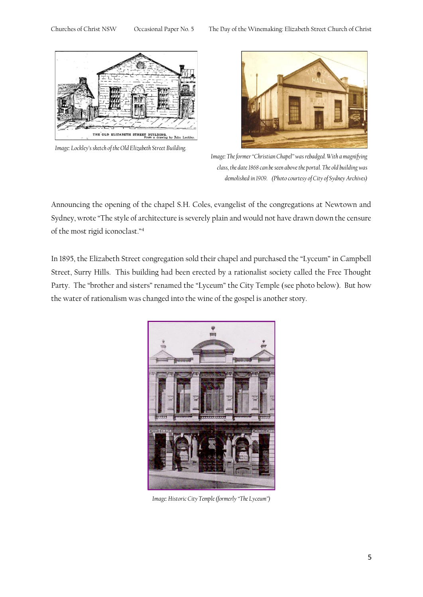

*Image: Lockley's sketch of the Old Elizabeth Street Building.*



*Image: The former "Christian Chapel" was rebadged. With a magnifying class, the date 1868 can be seen above the portal. The old building was demolished in 1909. (Photo courtesy of City of Sydney Archives)*

Announcing the opening of the chapel S.H. Coles, evangelist of the congregations at Newtown and Sydney, wrote "The style of architecture is severely plain and would not have drawn down the censure of the most rigid iconoclast."<sup>4</sup>

In 1895, the Elizabeth Street congregation sold their chapel and purchased the "Lyceum" in Campbell Street, Surry Hills. This building had been erected by a rationalist society called the Free Thought Party. The "brother and sisters" renamed the "Lyceum" the City Temple (see photo below). But how the water of rationalism was changed into the wine of the gospel is another story.



*Image: Historic City Temple (formerly "The Lyceum")*